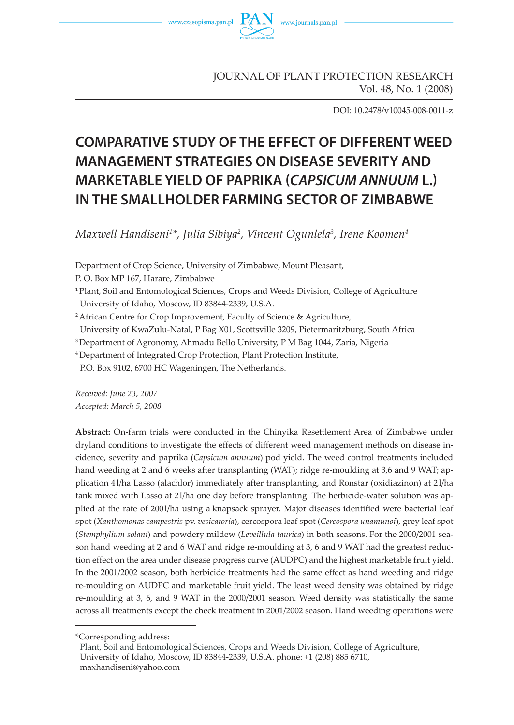

JOURNAL OF PLANT PROTECTION RESEARCH Vol. 48, No. 1 (2008)

DOI: 10.2478/v10045-008-0011-z

# **COMPARATIVE STUDY OF THE EFFECT OF DIFFERENT WEED MANAGEMENT STRATEGIES ON DISEASE SEVERITY AND MARKETABLE YIELD OF PAPRIKA (CAPSICUM ANNUUM L.) IN THE SMALLHOLDER FARMING SECTOR OF ZIMBABWE**

*Maxwell Handiseni1 \*, Julia Sibiya2 , Vincent Ogunlela3 , Irene Koomen4*

Department of Crop Science, University of Zimbabwe, Mount Pleasant,

P. O. Box MP 167, Harare, Zimbabwe

**<sup>1</sup>**Plant, Soil and Entomological Sciences, Crops and Weeds Division, College of Agriculture University of Idaho, Moscow, ID 83844-2339, U.S.A.

<sup>2</sup> African Centre for Crop Improvement, Faculty of Science & Agriculture,

University of KwaZulu-Natal, P Bag X01, Scottsville 3209, Pietermaritzburg, South Africa

3 Department of Agronomy, Ahmadu Bello University, P M Bag 1044, Zaria, Nigeria

4 Department of Integrated Crop Protection, Plant Protection Institute,

P.O. Box 9102, 6700 HC Wageningen, The Netherlands.

*Received: June 23, 2007 Accepted: March 5, 2008*

**Abstract:** On-farm trials were conducted in the Chinyika Resettlement Area of Zimbabwe under dryland conditions to investigate the effects of different weed management methods on disease incidence, severity and paprika (*Capsicum annuum*) pod yield. The weed control treatments included hand weeding at 2 and 6 weeks after transplanting (WAT); ridge re-moulding at 3,6 and 9 WAT; application 4 l/ha Lasso (alachlor) immediately after transplanting, and Ronstar (oxidiazinon) at 2 l/ha tank mixed with Lasso at 21/ha one day before transplanting. The herbicide-water solution was applied at the rate of 2001/ha using a knapsack sprayer. Major diseases identified were bacterial leaf spot (*Xanthomonas campestris* pv. *vesicatoria*), cercospora leaf spot (*Cercospora unamunoi*), grey leaf spot (*Stemphylium solani*) and powdery mildew (*Leveillula taurica*) in both seasons. For the 2000/2001 season hand weeding at 2 and 6 WAT and ridge re-moulding at 3, 6 and 9 WAT had the greatest reduction effect on the area under disease progress curve (AUDPC) and the highest marketable fruit yield. In the 2001/2002 season, both herbicide treatments had the same effect as hand weeding and ridge re-moulding on AUDPC and marketable fruit yield. The least weed density was obtained by ridge re-moulding at 3, 6, and 9 WAT in the 2000/2001 season. Weed density was statistically the same across all treatments except the check treatment in 2001/2002 season. Hand weeding operations were

<sup>\*</sup>Corresponding address:

Plant, Soil and Entomological Sciences, Crops and Weeds Division, College of Agriculture, University of Idaho, Moscow, ID 83844-2339, U.S.A. phone: +1 (208) 885 6710, maxhandiseni@yahoo.com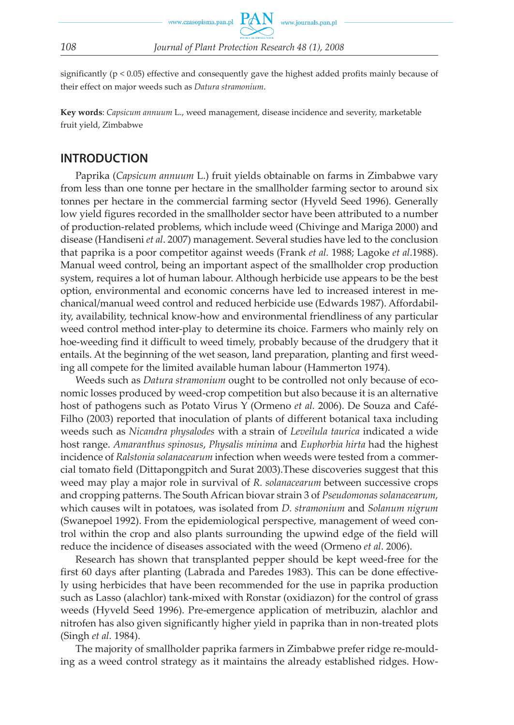

significantly (p < 0.05) effective and consequently gave the highest added profits mainly because of their effect on major weeds such as *Datura stramonium*.

**Key words**: *Capsicum annuum* L., weed management, disease incidence and severity, marketable fruit yield, Zimbabwe

### **INTRODUCTION**

Paprika (*Capsicum annuum* L.) fruit yields obtainable on farms in Zimbabwe vary from less than one tonne per hectare in the smallholder farming sector to around six tonnes per hectare in the commercial farming sector (Hyveld Seed 1996). Generally low yield figures recorded in the smallholder sector have been attributed to a number of production-related problems, which include weed (Chivinge and Mariga 2000) and disease (Handiseni *et al*. 2007) management. Several studies have led to the conclusion that paprika is a poor competitor against weeds (Frank *et al.* 1988; Lagoke *et al*.1988). Manual weed control, being an important aspect of the smallholder crop production system, requires a lot of human labour. Although herbicide use appears to be the best option, environmental and economic concerns have led to increased interest in mechanical/manual weed control and reduced herbicide use (Edwards 1987). Affordability, availability, technical know-how and environmental friendliness of any particular weed control method inter-play to determine its choice. Farmers who mainly rely on hoe-weeding find it difficult to weed timely, probably because of the drudgery that it entails. At the beginning of the wet season, land preparation, planting and first weeding all compete for the limited available human labour (Hammerton 1974).

Weeds such as *Datura stramonium* ought to be controlled not only because of economic losses produced by weed-crop competition but also because it is an alternative host of pathogens such as Potato Virus Y (Ormeno *et al.* 2006). De Souza and Café-Filho (2003) reported that inoculation of plants of different botanical taxa including weeds such as *Nicandra physalodes* with a strain of *Leveilula taurica* indicated a wide host range. *Amaranthus spinosus*, *Physalis minima* and *Euphorbia hirta* had the highest incidence of *Ralstonia solanacearum* infection when weeds were tested from a commercial tomato field (Dittapongpitch and Surat 2003).These discoveries suggest that this weed may play a major role in survival of *R. solanacearum* between successive crops and cropping patterns. The South African biovar strain 3 of *Pseudomonas solanacearum,* which causes wilt in potatoes, was isolated from *D. stramonium* and *Solanum nigrum*  (Swanepoel 1992). From the epidemiological perspective, management of weed control within the crop and also plants surrounding the upwind edge of the field will reduce the incidence of diseases associated with the weed (Ormeno *et al*. 2006).

Research has shown that transplanted pepper should be kept weed-free for the first 60 days after planting (Labrada and Paredes 1983). This can be done effectively using herbicides that have been recommended for the use in paprika production such as Lasso (alachlor) tank-mixed with Ronstar (oxidiazon) for the control of grass weeds (Hyveld Seed 1996). Pre-emergence application of metribuzin, alachlor and nitrofen has also given significantly higher yield in paprika than in non-treated plots (Singh *et al.* 1984).

The majority of smallholder paprika farmers in Zimbabwe prefer ridge re-moulding as a weed control strategy as it maintains the already established ridges. How-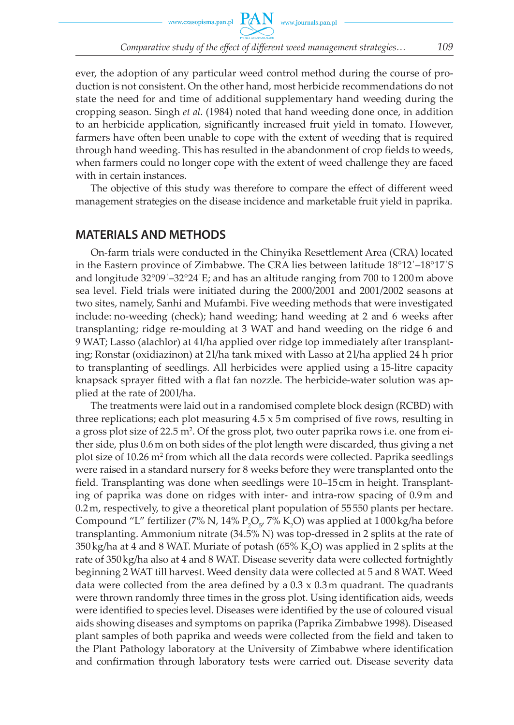ever, the adoption of any particular weed control method during the course of production is not consistent. On the other hand, most herbicide recommendations do not state the need for and time of additional supplementary hand weeding during the cropping season. Singh *et al*. (1984) noted that hand weeding done once, in addition to an herbicide application, significantly increased fruit yield in tomato. However, farmers have often been unable to cope with the extent of weeding that is required through hand weeding. This has resulted in the abandonment of crop fields to weeds, when farmers could no longer cope with the extent of weed challenge they are faced with in certain instances.

The objective of this study was therefore to compare the effect of different weed management strategies on the disease incidence and marketable fruit yield in paprika.

### **MATERIALS AND METHODS**

On-farm trials were conducted in the Chinyika Resettlement Area (CRA) located in the Eastern province of Zimbabwe. The CRA lies between latitude 18°12΄–18°17΄S and longitude 32°09΄–32°24΄E; and has an altitude ranging from 700 to 1 200 m above sea level. Field trials were initiated during the 2000/2001 and 2001/2002 seasons at two sites, namely, Sanhi and Mufambi. Five weeding methods that were investigated include: no-weeding (check); hand weeding; hand weeding at 2 and 6 weeks after transplanting; ridge re-moulding at 3 WAT and hand weeding on the ridge 6 and 9 WAT; Lasso (alachlor) at 4 l/ha applied over ridge top immediately after transplanting; Ronstar (oxidiazinon) at 2 l/ha tank mixed with Lasso at 2 l/ha applied 24 h prior to transplanting of seedlings. All herbicides were applied using a 15-litre capacity knapsack sprayer fitted with a flat fan nozzle. The herbicide-water solution was applied at the rate of 200 l/ha.

The treatments were laid out in a randomised complete block design (RCBD) with three replications; each plot measuring  $4.5 \times 5$  m comprised of five rows, resulting in a gross plot size of 22.5 m². Of the gross plot, two outer paprika rows i.e. one from either side, plus 0.6 m on both sides of the plot length were discarded, thus giving a net plot size of 10.26 m<sup>2</sup> from which all the data records were collected. Paprika seedlings were raised in a standard nursery for 8 weeks before they were transplanted onto the field. Transplanting was done when seedlings were 10–15 cm in height. Transplanting of paprika was done on ridges with inter- and intra-row spacing of 0.9 m and 0.2 m, respectively, to give a theoretical plant population of 55 550 plants per hectare. Compound "L" fertilizer (7% N, 14%  $P_2O_{57}$  7% K<sub>2</sub>O) was applied at 1000 kg/ha before transplanting. Ammonium nitrate (34.5% N) was top-dressed in 2 splits at the rate of 350 kg/ha at 4 and 8 WAT. Muriate of potash (65% K<sub>2</sub>O) was applied in 2 splits at the rate of 350 kg/ha also at 4 and 8 WAT. Disease severity data were collected fortnightly beginning 2 WAT till harvest. Weed density data were collected at 5 and 8 WAT. Weed data were collected from the area defined by a  $0.3 \times 0.3$  m quadrant. The quadrants were thrown randomly three times in the gross plot. Using identification aids, weeds were identified to species level. Diseases were identified by the use of coloured visual aids showing diseases and symptoms on paprika (Paprika Zimbabwe 1998). Diseased plant samples of both paprika and weeds were collected from the field and taken to the Plant Pathology laboratory at the University of Zimbabwe where identification and confirmation through laboratory tests were carried out. Disease severity data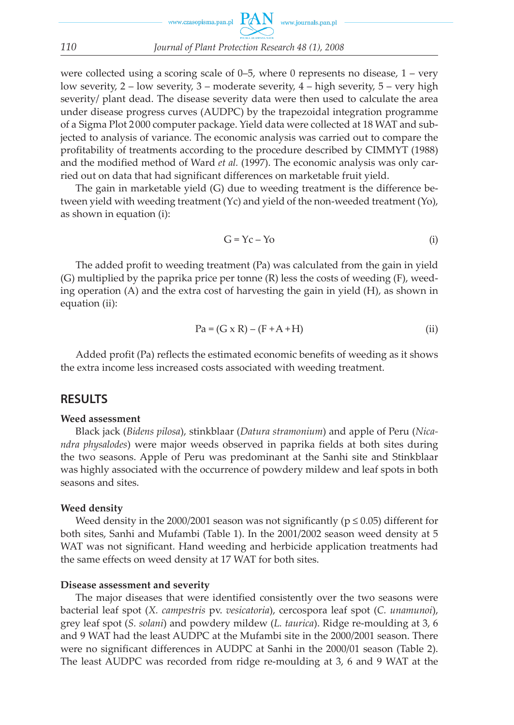were collected using a scoring scale of  $0-5$ , where 0 represents no disease,  $1 - \text{very}$ low severity, 2 – low severity, 3 – moderate severity, 4 – high severity, 5 – very high severity/ plant dead. The disease severity data were then used to calculate the area under disease progress curves (AUDPC) by the trapezoidal integration programme of a Sigma Plot 2 000 computer package. Yield data were collected at 18 WAT and subjected to analysis of variance. The economic analysis was carried out to compare the profitability of treatments according to the procedure described by CIMMYT (1988) and the modified method of Ward *et al.* (1997). The economic analysis was only carried out on data that had significant differences on marketable fruit yield.

The gain in marketable yield (G) due to weeding treatment is the difference between yield with weeding treatment (Yc) and yield of the non-weeded treatment (Yo), as shown in equation (i):

$$
G = Yc - Yo \tag{i}
$$

The added profit to weeding treatment (Pa) was calculated from the gain in yield (G) multiplied by the paprika price per tonne (R) less the costs of weeding (F), weeding operation (A) and the extra cost of harvesting the gain in yield (H), as shown in equation (ii):

$$
Pa = (G \times R) - (F + A + H)
$$
 (ii)

Added profit (Pa) reflects the estimated economic benefits of weeding as it shows the extra income less increased costs associated with weeding treatment.

#### **RESULTS**

#### **Weed assessment**

Black jack (*Bidens pilosa*), stinkblaar (*Datura stramonium*) and apple of Peru (*Nicandra physalodes*) were major weeds observed in paprika fields at both sites during the two seasons. Apple of Peru was predominant at the Sanhi site and Stinkblaar was highly associated with the occurrence of powdery mildew and leaf spots in both seasons and sites.

#### **Weed density**

Weed density in the 2000/2001 season was not significantly ( $p \le 0.05$ ) different for both sites, Sanhi and Mufambi (Table 1). In the 2001/2002 season weed density at 5 WAT was not significant. Hand weeding and herbicide application treatments had the same effects on weed density at 17 WAT for both sites.

#### **Disease assessment and severity**

The major diseases that were identified consistently over the two seasons were bacterial leaf spot (*X. campestris* pv. *vesicatoria*), cercospora leaf spot (*C. unamunoi*), grey leaf spot (*S. solani*) and powdery mildew (*L. taurica*). Ridge re-moulding at 3, 6 and 9 WAT had the least AUDPC at the Mufambi site in the 2000/2001 season. There were no significant differences in AUDPC at Sanhi in the 2000/01 season (Table 2). The least AUDPC was recorded from ridge re-moulding at 3, 6 and 9 WAT at the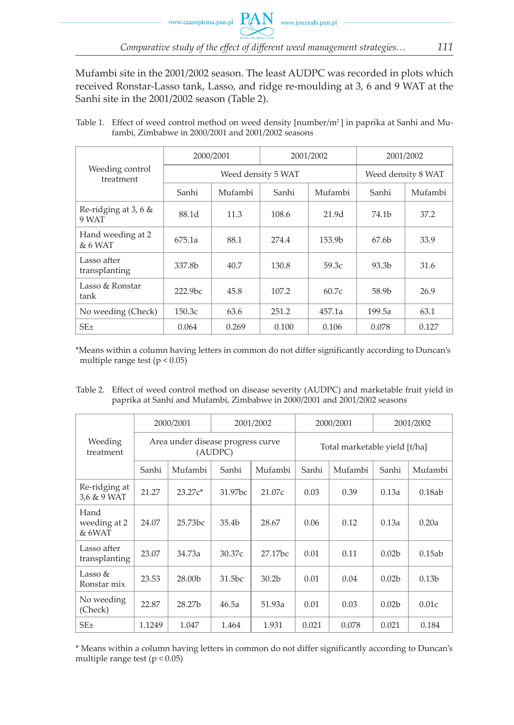Mufambi site in the 2001/2002 season. The least AUDPC was recorded in plots which received Ronstar-Lasso tank, Lasso, and ridge re-moulding at 3, 6 and 9 WAT at the Sanhi site in the 2001/2002 season (Table 2).

Table 1. Effect of weed control method on weed density [number/m<sup>2</sup>] in paprika at Sanhi and Mufambi, Zimbabwe in 2000/2001 and 2001/2002 seasons

|                                  | 2000/2001           |         | 2001/2002 |                    | 2001/2002          |         |
|----------------------------------|---------------------|---------|-----------|--------------------|--------------------|---------|
| Weeding control<br>treatment     | Weed density 5 WAT  |         |           |                    | Weed density 8 WAT |         |
|                                  | Sanhi               | Mufambi | Sanhi     | Mufambi            | Sanhi              | Mufambi |
| Re-ridging at 3, 6 $\&$<br>9 WAT | 88.1d               | 11.3    | 108.6     | 21.9 <sub>d</sub>  | 74.1b              | 37.2    |
| Hand weeding at 2<br>$& 6$ WAT   | 675.1a              | 88.1    | 274.4     | 153.9 <sub>b</sub> | 67.6 <sub>b</sub>  | 33.9    |
| Lasso after<br>transplanting     | 337.8b              | 40.7    | 130.8     | 59.3c              | 93.3 <sub>b</sub>  | 31.6    |
| Lasso & Ronstar<br>tank          | 222.9 <sub>bc</sub> | 45.8    | 107.2     | 60.7c              | 58.9b              | 26.9    |
| No weeding (Check)               | 150.3c              | 63.6    | 251.2     | 457.1a             | 199.5a             | 63.1    |
| $SE_{\pm}$                       | 0.064               | 0.269   | 0.100     | 0.106              | 0.078              | 0.127   |

\*Means within a column having letters in common do not differ significantly according to Duncan's multiple range test  $(p < 0.05)$ 

Table 2. Effect of weed control method on disease severity (AUDPC) and marketable fruit yield in paprika at Sanhi and Mufambi, Zimbabwe in 2000/2001 and 2001/2002 seasons

|                                | 2000/2001                                    |           | 2001/2002           |                               | 2000/2001 |         | 2001/2002         |                   |
|--------------------------------|----------------------------------------------|-----------|---------------------|-------------------------------|-----------|---------|-------------------|-------------------|
| Weeding<br>treatment           | Area under disease progress curve<br>(AUDPC) |           |                     | Total marketable yield [t/ha] |           |         |                   |                   |
|                                | Sanhi                                        | Mufambi   | Sanhi               | Mufambi                       | Sanhi     | Mufambi | Sanhi             | Mufambi           |
| Re-ridging at<br>3,6 & 9 WAT   | 21.27                                        | $23.27c*$ | 31.97 <sub>bc</sub> | 21.07c                        | 0.03      | 0.39    | 0.13a             | 0.18ab            |
| Hand<br>weeding at 2<br>& 6WAT | 24.07                                        | 25.73bc   | 35.4 <sub>b</sub>   | 28.67                         | 0.06      | 0.12    | 0.13a             | 0.20a             |
| Lasso after<br>transplanting   | 23.07                                        | 34.73a    | 30.37c              | 27.17bc                       | 0.01      | 0.11    | 0.02 <sub>b</sub> | 0.15ab            |
| Lasso $&$<br>Ronstar mix       | 23.53                                        | 28.00b    | 31.5bc              | 30.2b                         | 0.01      | 0.04    | 0.02 <sub>b</sub> | 0.13 <sub>b</sub> |
| No weeding<br>(Check)          | 22.87                                        | 28.27b    | 46.5a               | 51.93a                        | 0.01      | 0.03    | 0.02 <sub>b</sub> | 0.01c             |
| SE±                            | 1.1249                                       | 1.047     | 1.464               | 1.931                         | 0.021     | 0.078   | 0.021             | 0.184             |

\* Means within a column having letters in common do not differ significantly according to Duncan's multiple range test  $(p < 0.05)$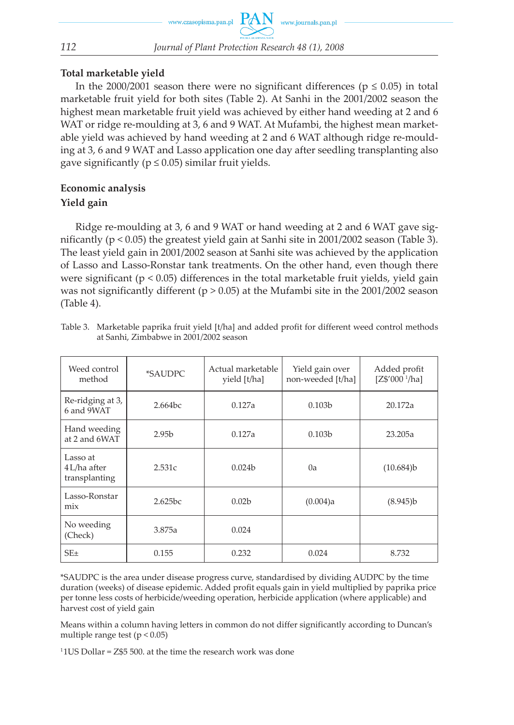### **Total marketable yield**

In the 2000/2001 season there were no significant differences ( $p \le 0.05$ ) in total marketable fruit yield for both sites (Table 2). At Sanhi in the 2001/2002 season the highest mean marketable fruit yield was achieved by either hand weeding at 2 and 6 WAT or ridge re-moulding at 3, 6 and 9 WAT. At Mufambi, the highest mean marketable yield was achieved by hand weeding at 2 and 6 WAT although ridge re-moulding at 3, 6 and 9 WAT and Lasso application one day after seedling transplanting also gave significantly ( $p \le 0.05$ ) similar fruit yields.

### **Economic analysis Yield gain**

Ridge re-moulding at 3, 6 and 9 WAT or hand weeding at 2 and 6 WAT gave significantly ( $p < 0.05$ ) the greatest yield gain at Sanhi site in 2001/2002 season (Table 3). The least yield gain in 2001/2002 season at Sanhi site was achieved by the application of Lasso and Lasso-Ronstar tank treatments. On the other hand, even though there were significant ( $p < 0.05$ ) differences in the total marketable fruit yields, yield gain was not significantly different ( $p > 0.05$ ) at the Mufambi site in the 2001/2002 season (Table 4).

| Weed control<br>method                    | *SAUDPC           | Actual marketable<br>yield [t/ha] | Yield gain over<br>non-weeded [t/ha] | Added profit<br>[Z\$'000~ <sup>1</sup> /ha] |
|-------------------------------------------|-------------------|-----------------------------------|--------------------------------------|---------------------------------------------|
| Re-ridging at 3,<br>6 and 9WAT            | 2.664bc           | 0.127a                            | 0.103 <sub>b</sub>                   | 20.172a                                     |
| Hand weeding<br>at 2 and 6WAT             | 2.95 <sub>b</sub> | 0.127a                            | 0.103 <sub>b</sub>                   | 23.205a                                     |
| Lasso at<br>4 L/ha after<br>transplanting | 2.531c            | 0.024 <sub>b</sub>                | 0a                                   | (10.684)b                                   |
| Lasso-Ronstar<br>mix                      | 2.625bc           | 0.02 <sub>b</sub>                 | (0.004)a                             | (8.945)b                                    |
| No weeding<br>(Check)                     | 3.875a            | 0.024                             |                                      |                                             |
| $SE_{\pm}$                                | 0.155             | 0.232                             | 0.024                                | 8.732                                       |

Table 3. Marketable paprika fruit yield [t/ha] and added profit for different weed control methods at Sanhi, Zimbabwe in 2001/2002 season

\*SAUDPC is the area under disease progress curve, standardised by dividing AUDPC by the time duration (weeks) of disease epidemic. Added profit equals gain in yield multiplied by paprika price per tonne less costs of herbicide/weeding operation, herbicide application (where applicable) and harvest cost of yield gain

Means within a column having letters in common do not differ significantly according to Duncan's multiple range test  $(p < 0.05)$ 

 $11US$  Dollar =  $Z$5 500$ . at the time the research work was done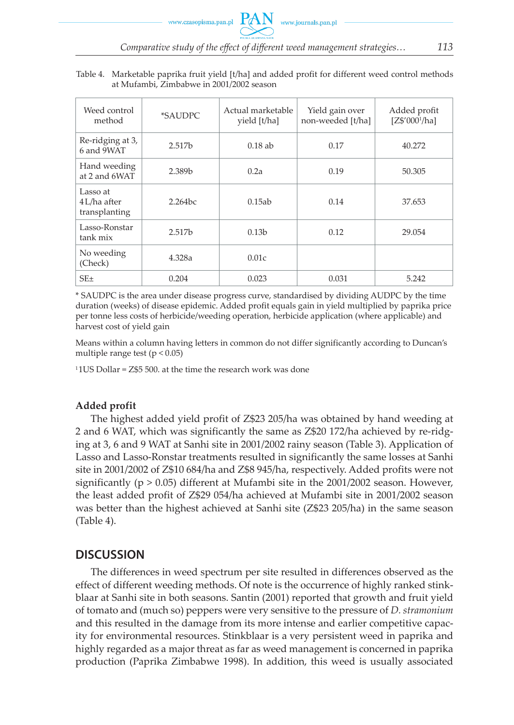| Weed control<br>method                     | <i>*SAUDPC</i>     | Actual marketable<br>yield [t/ha] | Yield gain over<br>non-weeded [t/ha] | Added profit<br>[Z\$'000 <sup>1</sup> /ha] |
|--------------------------------------------|--------------------|-----------------------------------|--------------------------------------|--------------------------------------------|
| Re-ridging at 3,<br>6 and 9WAT             | 2.517b             | $0.18$ ab                         | 0.17                                 | 40.272                                     |
| Hand weeding<br>at 2 and 6WAT              | 2.389b             | 0.2a                              | 0.19                                 | 50.305                                     |
| Lasso at<br>$4L/ha$ after<br>transplanting | 2.264bc            | 0.15ab                            | 0.14                                 | 37.653                                     |
| Lasso-Ronstar<br>tank mix                  | 2.517 <sub>b</sub> | 0.13 <sub>b</sub>                 | 0.12                                 | 29.054                                     |
| No weeding<br>(Check)                      | 4.328a             | 0.01c                             |                                      |                                            |
| $SE_{\pm}$                                 | 0.204              | 0.023                             | 0.031                                | 5.242                                      |

#### Table 4. Marketable paprika fruit yield [t/ha] and added profit for different weed control methods at Mufambi, Zimbabwe in 2001/2002 season

\* SAUDPC is the area under disease progress curve, standardised by dividing AUDPC by the time duration (weeks) of disease epidemic. Added profit equals gain in yield multiplied by paprika price per tonne less costs of herbicide/weeding operation, herbicide application (where applicable) and harvest cost of yield gain

Means within a column having letters in common do not differ significantly according to Duncan's multiple range test ( $p < 0.05$ )

 $11US$  Dollar =  $Z$5 500$ , at the time the research work was done

### **Added profit**

The highest added yield profit of Z\$23 205/ha was obtained by hand weeding at 2 and 6 WAT, which was significantly the same as Z\$20 172/ha achieved by re-ridging at 3, 6 and 9 WAT at Sanhi site in 2001/2002 rainy season (Table 3). Application of Lasso and Lasso-Ronstar treatments resulted in significantly the same losses at Sanhi site in 2001/2002 of Z\$10 684/ha and Z\$8 945/ha, respectively. Added profits were not significantly ( $p > 0.05$ ) different at Mufambi site in the 2001/2002 season. However, the least added profit of Z\$29 054/ha achieved at Mufambi site in 2001/2002 season was better than the highest achieved at Sanhi site (Z\$23 205/ha) in the same season (Table 4).

### **DISCUSSION**

The differences in weed spectrum per site resulted in differences observed as the effect of different weeding methods. Of note is the occurrence of highly ranked stinkblaar at Sanhi site in both seasons. Santin (2001) reported that growth and fruit yield of tomato and (much so) peppers were very sensitive to the pressure of *D. stramonium* and this resulted in the damage from its more intense and earlier competitive capacity for environmental resources. Stinkblaar is a very persistent weed in paprika and highly regarded as a major threat as far as weed management is concerned in paprika production (Paprika Zimbabwe 1998). In addition, this weed is usually associated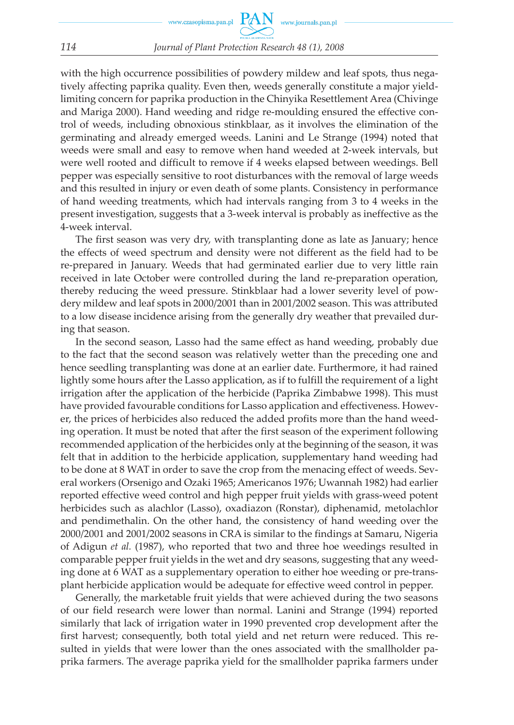with the high occurrence possibilities of powdery mildew and leaf spots, thus negatively affecting paprika quality. Even then, weeds generally constitute a major yieldlimiting concern for paprika production in the Chinyika Resettlement Area (Chivinge and Mariga 2000). Hand weeding and ridge re-moulding ensured the effective control of weeds, including obnoxious stinkblaar, as it involves the elimination of the germinating and already emerged weeds. Lanini and Le Strange (1994) noted that weeds were small and easy to remove when hand weeded at 2-week intervals, but were well rooted and difficult to remove if 4 weeks elapsed between weedings. Bell pepper was especially sensitive to root disturbances with the removal of large weeds and this resulted in injury or even death of some plants. Consistency in performance of hand weeding treatments, which had intervals ranging from 3 to 4 weeks in the present investigation, suggests that a 3-week interval is probably as ineffective as the 4-week interval.

The first season was very dry, with transplanting done as late as January; hence the effects of weed spectrum and density were not different as the field had to be re-prepared in January. Weeds that had germinated earlier due to very little rain received in late October were controlled during the land re-preparation operation, thereby reducing the weed pressure. Stinkblaar had a lower severity level of powdery mildew and leaf spots in 2000/2001 than in 2001/2002 season. This was attributed to a low disease incidence arising from the generally dry weather that prevailed during that season.

In the second season, Lasso had the same effect as hand weeding, probably due to the fact that the second season was relatively wetter than the preceding one and hence seedling transplanting was done at an earlier date. Furthermore, it had rained lightly some hours after the Lasso application, as if to fulfill the requirement of a light irrigation after the application of the herbicide (Paprika Zimbabwe 1998). This must have provided favourable conditions for Lasso application and effectiveness. However, the prices of herbicides also reduced the added profits more than the hand weeding operation. It must be noted that after the first season of the experiment following recommended application of the herbicides only at the beginning of the season, it was felt that in addition to the herbicide application, supplementary hand weeding had to be done at 8 WAT in order to save the crop from the menacing effect of weeds. Several workers (Orsenigo and Ozaki 1965; Americanos 1976; Uwannah 1982) had earlier reported effective weed control and high pepper fruit yields with grass-weed potent herbicides such as alachlor (Lasso), oxadiazon (Ronstar), diphenamid, metolachlor and pendimethalin. On the other hand, the consistency of hand weeding over the 2000/2001 and 2001/2002 seasons in CRA is similar to the findings at Samaru, Nigeria of Adigun *et al.* (1987), who reported that two and three hoe weedings resulted in comparable pepper fruit yields in the wet and dry seasons, suggesting that any weeding done at 6 WAT as a supplementary operation to either hoe weeding or pre-transplant herbicide application would be adequate for effective weed control in pepper.

Generally, the marketable fruit yields that were achieved during the two seasons of our field research were lower than normal. Lanini and Strange (1994) reported similarly that lack of irrigation water in 1990 prevented crop development after the first harvest; consequently, both total yield and net return were reduced. This resulted in yields that were lower than the ones associated with the smallholder paprika farmers. The average paprika yield for the smallholder paprika farmers under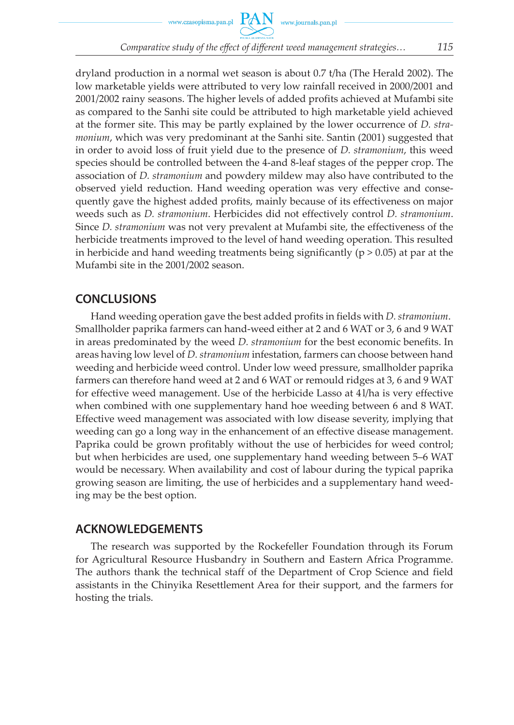www.czasopisma.pan.pl

*Comparative study of the effect of different weed management strategies… 115*

dryland production in a normal wet season is about 0.7 t/ha (The Herald 2002). The low marketable yields were attributed to very low rainfall received in 2000/2001 and 2001/2002 rainy seasons. The higher levels of added profits achieved at Mufambi site as compared to the Sanhi site could be attributed to high marketable yield achieved at the former site. This may be partly explained by the lower occurrence of *D. stramonium*, which was very predominant at the Sanhi site. Santin (2001) suggested that in order to avoid loss of fruit yield due to the presence of *D. stramonium*, this weed species should be controlled between the 4-and 8-leaf stages of the pepper crop. The association of *D. stramonium* and powdery mildew may also have contributed to the observed yield reduction. Hand weeding operation was very effective and consequently gave the highest added profits, mainly because of its effectiveness on major weeds such as *D. stramonium*. Herbicides did not effectively control *D. stramonium*. Since *D. stramonium* was not very prevalent at Mufambi site, the effectiveness of the herbicide treatments improved to the level of hand weeding operation. This resulted in herbicide and hand weeding treatments being significantly ( $p > 0.05$ ) at par at the Mufambi site in the 2001/2002 season.

### **CONCLUSIONS**

Hand weeding operation gave the best added profits in fields with *D. stramonium*. Smallholder paprika farmers can hand-weed either at 2 and 6 WAT or 3, 6 and 9 WAT in areas predominated by the weed *D. stramonium* for the best economic benefits. In areas having low level of *D. stramonium* infestation, farmers can choose between hand weeding and herbicide weed control. Under low weed pressure, smallholder paprika farmers can therefore hand weed at 2 and 6 WAT or remould ridges at 3, 6 and 9 WAT for effective weed management. Use of the herbicide Lasso at 4 l/ha is very effective when combined with one supplementary hand hoe weeding between 6 and 8 WAT. Effective weed management was associated with low disease severity, implying that weeding can go a long way in the enhancement of an effective disease management. Paprika could be grown profitably without the use of herbicides for weed control; but when herbicides are used, one supplementary hand weeding between 5–6 WAT would be necessary. When availability and cost of labour during the typical paprika growing season are limiting, the use of herbicides and a supplementary hand weeding may be the best option.

### **ACKNOWLEDGEMENTS**

The research was supported by the Rockefeller Foundation through its Forum for Agricultural Resource Husbandry in Southern and Eastern Africa Programme. The authors thank the technical staff of the Department of Crop Science and field assistants in the Chinyika Resettlement Area for their support, and the farmers for hosting the trials.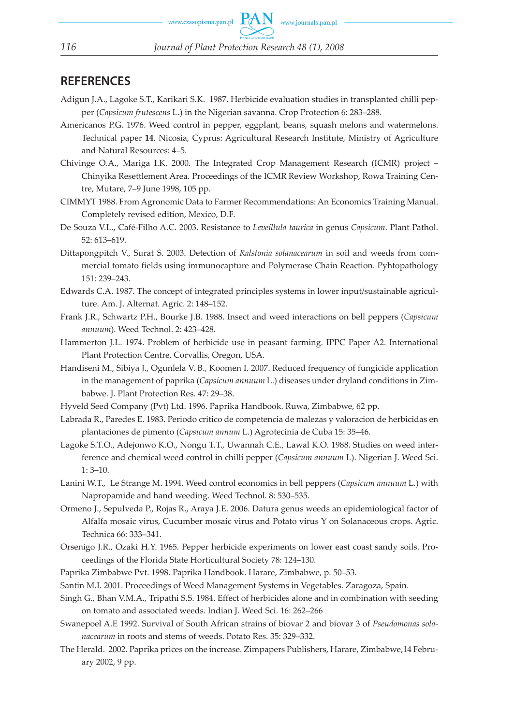### **REFERENCES**

- Adigun J.A., Lagoke S.T., Karikari S.K. 1987. Herbicide evaluation studies in transplanted chilli pepper (*Capsicum frutescens* L.) in the Nigerian savanna. Crop Protection 6: 283–288.
- Americanos P.G. 1976. Weed control in pepper, eggplant, beans, squash melons and watermelons. Technical paper **14**, Nicosia, Cyprus: Agricultural Research Institute, Ministry of Agriculture and Natural Resources: 4–5.
- Chivinge O.A., Mariga I.K. 2000. The Integrated Crop Management Research (ICMR) project Chinyika Resettlement Area. Proceedings of the ICMR Review Workshop, Rowa Training Centre, Mutare, 7–9 June 1998, 105 pp.
- CIMMYT 1988. From Agronomic Data to Farmer Recommendations: An Economics Training Manual. Completely revised edition, Mexico, D.F.
- De Souza V.L., Café-Filho A.C. 2003. Resistance to *Leveillula taurica* in genus *Capsicum*. Plant Pathol. 52: 613–619.
- Dittapongpitch V., Surat S. 2003. Detection of *Ralstonia solanacearum* in soil and weeds from commercial tomato fields using immunocapture and Polymerase Chain Reaction. Pyhtopathology 151: 239–243.
- Edwards C.A. 1987. The concept of integrated principles systems in lower input/sustainable agriculture. Am. J. Alternat. Agric. 2: 148–152.
- Frank J.R., Schwartz P.H., Bourke J.B. 1988. Insect and weed interactions on bell peppers (*Capsicum annuum*). Weed Technol. 2: 423–428.
- Hammerton J.L. 1974. Problem of herbicide use in peasant farming. IPPC Paper A2. International Plant Protection Centre, Corvallis, Oregon, USA.
- Handiseni M., Sibiya J., Ogunlela V. B., Koomen I. 2007. Reduced frequency of fungicide application in the management of paprika (*Capsicum annuum* L.) diseases under dryland conditions in Zimbabwe. J. Plant Protection Res. 47: 29–38.
- Hyveld Seed Company (Pvt) Ltd. 1996. Paprika Handbook. Ruwa, Zimbabwe, 62 pp.
- Labrada R., Paredes E. 1983. Periodo critico de competencia de malezas y valoracion de herbicidas en plantaciones de pimento (*Capsicum annum* L.) Agrotecinia de Cuba 15: 35–46.
- Lagoke S.T.O., Adejonwo K.O., Nongu T.T., Uwannah C.E., Lawal K.O. 1988. Studies on weed interference and chemical weed control in chilli pepper (*Capsicum annuum* L). Nigerian J. Weed Sci. 1: 3–10.
- Lanini W.T., Le Strange M. 1994. Weed control economics in bell peppers (*Capsicum annuum* L*.*) with Napropamide and hand weeding. Weed Technol. 8: 530–535.
- Ormeno J., Sepulveda P., Rojas R., Araya J.E. 2006. Datura genus weeds an epidemiological factor of Alfalfa mosaic virus, Cucumber mosaic virus and Potato virus Y on Solanaceous crops. Agric. Technica 66: 333–341.
- Orsenigo J.R., Ozaki H.Y. 1965. Pepper herbicide experiments on lower east coast sandy soils. Proceedings of the Florida State Horticultural Society 78: 124–130.
- Paprika Zimbabwe Pvt. 1998. Paprika Handbook. Harare, Zimbabwe, p. 50–53.
- Santin M.I. 2001. Proceedings of Weed Management Systems in Vegetables. Zaragoza, Spain.
- Singh G., Bhan V.M.A., Tripathi S.S. 1984. Effect of herbicides alone and in combination with seeding on tomato and associated weeds. Indian J. Weed Sci. 16: 262–266
- Swanepoel A.E 1992. Survival of South African strains of biovar 2 and biovar 3 of *Pseudomonas solanacearum* in roots and stems of weeds. Potato Res. 35: 329–332.
- The Herald. 2002. Paprika prices on the increase. Zimpapers Publishers, Harare, Zimbabwe,14 February 2002, 9 pp.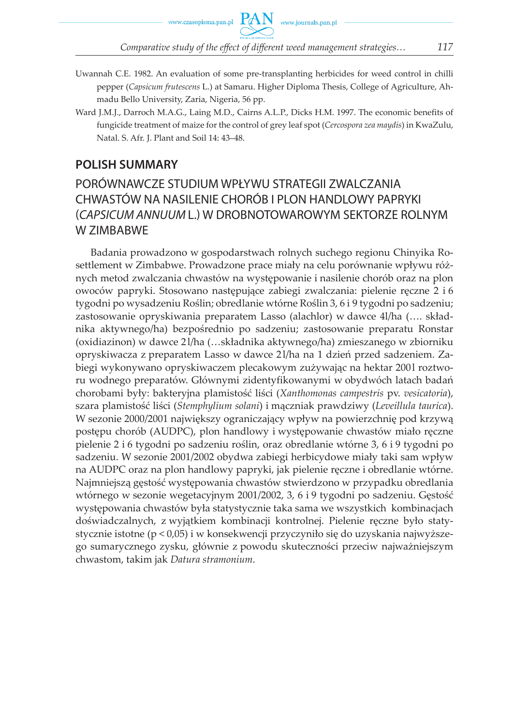www.czasopisma.pan.pl

- Uwannah C.E. 1982. An evaluation of some pre-transplanting herbicides for weed control in chilli pepper (*Capsicum frutescens* L.) at Samaru. Higher Diploma Thesis, College of Agriculture, Ahmadu Bello University, Zaria, Nigeria, 56 pp.
- Ward J.M.J., Darroch M.A.G., Laing M.D., Cairns A.L.P., Dicks H.M. 1997. The economic benefits of fungicide treatment of maize for the control of grey leaf spot (*Cercospora zea maydis*) in KwaZulu, Natal. S. Afr. J. Plant and Soil 14: 43–48.

### **POLISH SUMMARY**

## PORÓWNAWCZE STUDIUM WPŁYWU STRATEGII ZWALCZANIA CHWASTÓW NA NASILENIE CHORÓB I PLON HANDLOWY PAPRYKI (CAPSICUM ANNUUM L.) W DROBNOTOWAROWYM SEKTORZE ROLNYM W ZIMBABWE

Badania prowadzono w gospodarstwach rolnych suchego regionu Chinyika Rosettlement w Zimbabwe. Prowadzone prace miały na celu porównanie wpływu różnych metod zwalczania chwastów na występowanie i nasilenie chorób oraz na plon owoców papryki. Stosowano następujące zabiegi zwalczania: pielenie ręczne 2 i 6 tygodni po wysadzeniu Roślin; obredlanie wtórne Roślin 3, 6 i 9 tygodni po sadzeniu; zastosowanie opryskiwania preparatem Lasso (alachlor) w dawce 4l/ha (…. składnika aktywnego/ha) bezpośrednio po sadzeniu; zastosowanie preparatu Ronstar (oxidiazinon) w dawce 2 l/ha (…składnika aktywnego/ha) zmieszanego w zbiorniku opryskiwacza z preparatem Lasso w dawce 2 l/ha na 1 dzień przed sadzeniem. Zabiegi wykonywano opryskiwaczem plecakowym zużywając na hektar 2001 roztworu wodnego preparatów. Głównymi zidentyfikowanymi w obydwóch latach badań chorobami były: bakteryjna plamistość liści (*Xanthomonas campestris* pv. *vesicatoria*), szara plamistość liści (*Stemphylium solani*) i mączniak prawdziwy (*Leveillula taurica*). W sezonie 2000/2001 największy ograniczający wpływ na powierzchnię pod krzywą postępu chorób (AUDPC), plon handlowy i występowanie chwastów miało ręczne pielenie 2 i 6 tygodni po sadzeniu roślin, oraz obredlanie wtórne 3, 6 i 9 tygodni po sadzeniu. W sezonie 2001/2002 obydwa zabiegi herbicydowe miały taki sam wpływ na AUDPC oraz na plon handlowy papryki, jak pielenie ręczne i obredlanie wtórne. Najmniejszą gęstość występowania chwastów stwierdzono w przypadku obredlania wtórnego w sezonie wegetacyjnym 2001/2002, 3, 6 i 9 tygodni po sadzeniu. Gęstość występowania chwastów była statystycznie taka sama we wszystkich kombinacjach doświadczalnych, z wyjątkiem kombinacji kontrolnej. Pielenie ręczne było statystycznie istotne (p < 0,05) i w konsekwencji przyczyniło się do uzyskania najwyższego sumarycznego zysku, głównie z powodu skuteczności przeciw najważniejszym chwastom, takim jak *Datura stramonium*.